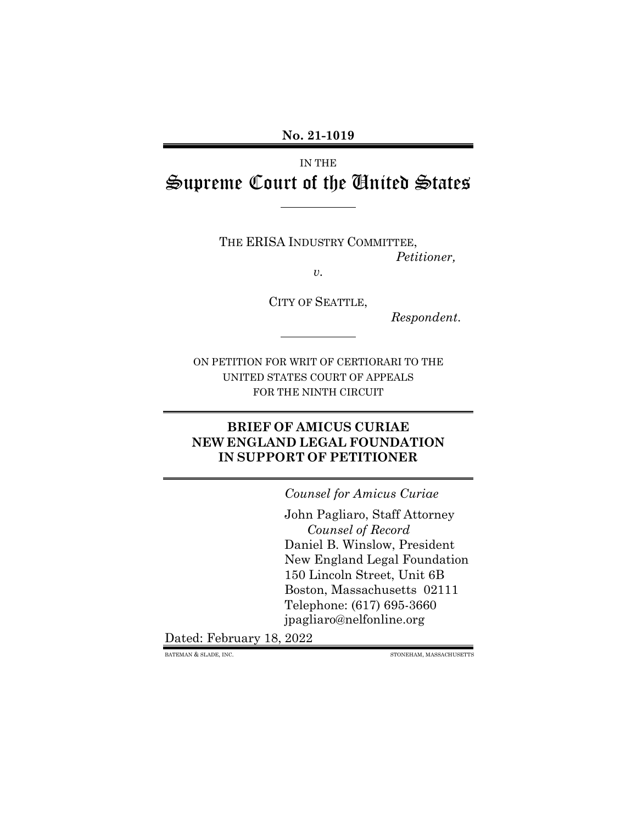**No. 21-1019**

IN THE Supreme Court of the United States

THE ERISA INDUSTRY COMMITTEE,

*Petitioner,*

*v.*

CITY OF SEATTLE,

*Respondent*.

ON PETITION FOR WRIT OF CERTIORARI TO THE UNITED STATES COURT OF APPEALS FOR THE NINTH CIRCUIT

### **BRIEF OF AMICUS CURIAE NEW ENGLAND LEGAL FOUNDATION IN SUPPORT OF PETITIONER**

*Counsel for Amicus Curiae*

John Pagliaro, Staff Attorney *Counsel of Record* Daniel B. Winslow, President New England Legal Foundation 150 Lincoln Street, Unit 6B Boston, Massachusetts 02111 Telephone: (617) 695-3660 jpagliaro@nelfonline.org

Dated: February 18, 2022

BATEMAN & SLADE, INC. STONEHAM, MASSACHUSETTS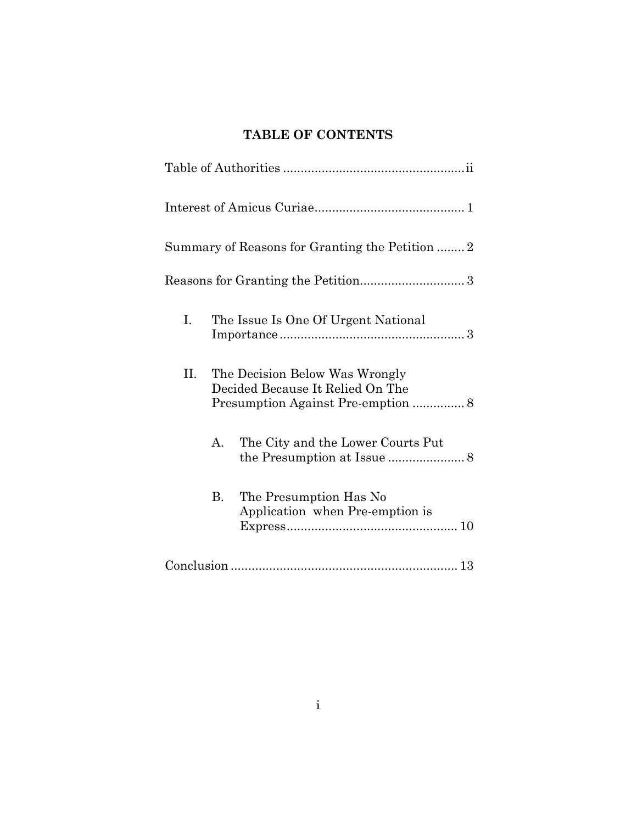## **TABLE OF CONTENTS**

| Summary of Reasons for Granting the Petition  2 |              |                                                                    |  |
|-------------------------------------------------|--------------|--------------------------------------------------------------------|--|
|                                                 |              |                                                                    |  |
| I.                                              |              | The Issue Is One Of Urgent National                                |  |
| II.                                             |              | The Decision Below Was Wrongly<br>Decided Because It Relied On The |  |
|                                                 | $\mathsf{A}$ | The City and the Lower Courts Put                                  |  |
|                                                 | B.           | The Presumption Has No<br>Application when Pre-emption is          |  |
|                                                 |              |                                                                    |  |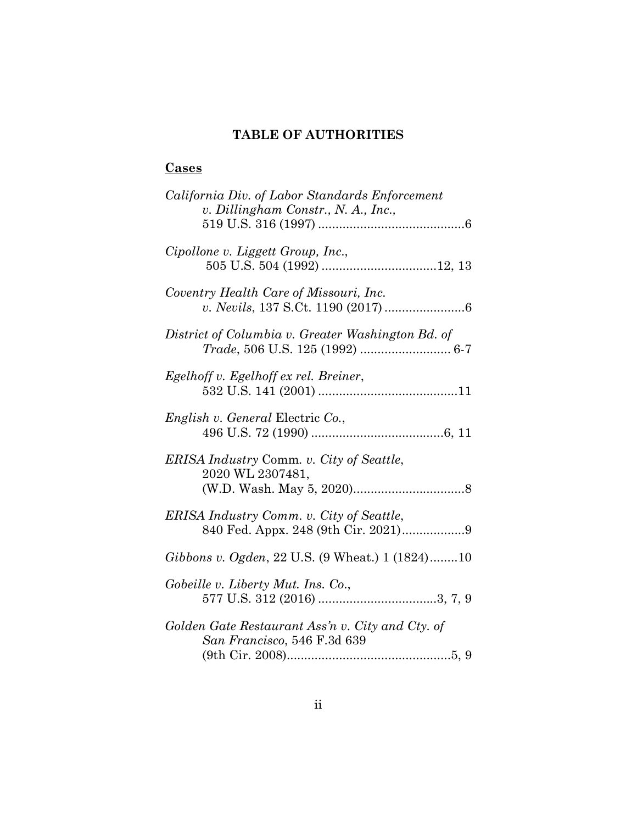# **TABLE OF AUTHORITIES**

### **Cases**

| California Div. of Labor Standards Enforcement<br>v. Dillingham Constr., N. A., Inc., |
|---------------------------------------------------------------------------------------|
|                                                                                       |
| Cipollone v. Liggett Group, Inc.,                                                     |
| Coventry Health Care of Missouri, Inc.                                                |
| District of Columbia v. Greater Washington Bd. of<br>Trade, 506 U.S. 125 (1992)  6-7  |
| Egelhoff v. Egelhoff ex rel. Breiner,                                                 |
| <i>English v. General Electric Co.,</i>                                               |
| ERISA Industry Comm. v. City of Seattle,<br>2020 WL 2307481,                          |
| ERISA Industry Comm. v. City of Seattle,<br>840 Fed. Appx. 248 (9th Cir. 2021)9       |
| Gibbons v. Ogden, 22 U.S. (9 Wheat.) 1 (1824)10                                       |
| Gobeille v. Liberty Mut. Ins. Co.,                                                    |
| Golden Gate Restaurant Ass'n v. City and Cty. of<br>San Francisco, 546 F.3d 639       |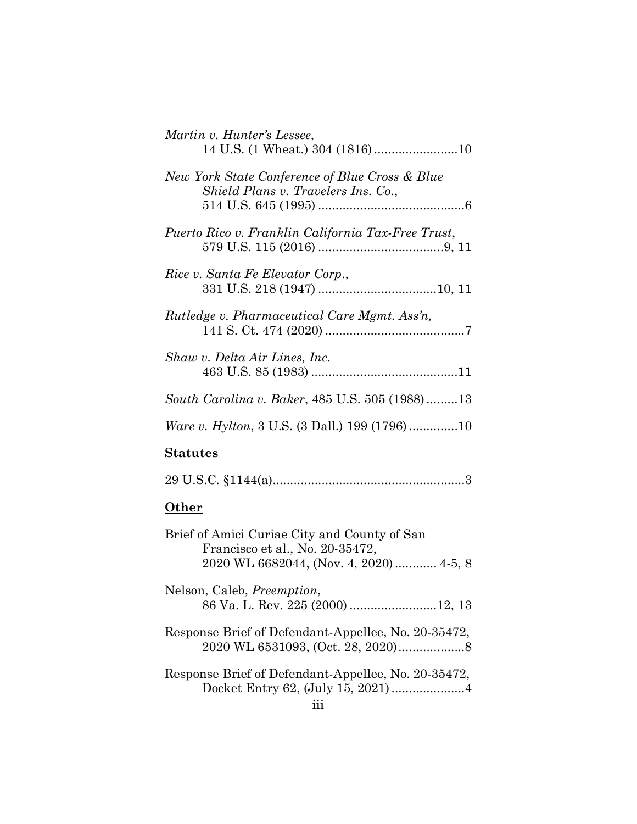| Martin v. Hunter's Lessee,<br>14 U.S. (1 Wheat.) 304 (1816)10                                                              |
|----------------------------------------------------------------------------------------------------------------------------|
| New York State Conference of Blue Cross & Blue<br>Shield Plans v. Travelers Ins. Co.,                                      |
| Puerto Rico v. Franklin California Tax-Free Trust,                                                                         |
| Rice v. Santa Fe Elevator Corp.,                                                                                           |
| Rutledge v. Pharmaceutical Care Mgmt. Ass'n,                                                                               |
| Shaw v. Delta Air Lines, Inc.                                                                                              |
| South Carolina v. Baker, 485 U.S. 505 (1988)13                                                                             |
| <i>Ware v. Hylton, 3 U.S. (3 Dall.) 199 (1796)10</i>                                                                       |
| <b>Statutes</b>                                                                                                            |
|                                                                                                                            |
| <u>Other</u>                                                                                                               |
| Brief of Amici Curiae City and County of San<br>Francisco et al., No. 20-35472,<br>2020 WL 6682044, (Nov. 4, 2020)  4-5, 8 |
| Nelson, Caleb, Preemption,                                                                                                 |
| Response Brief of Defendant-Appellee, No. 20-35472,                                                                        |
| Response Brief of Defendant-Appellee, No. 20-35472,                                                                        |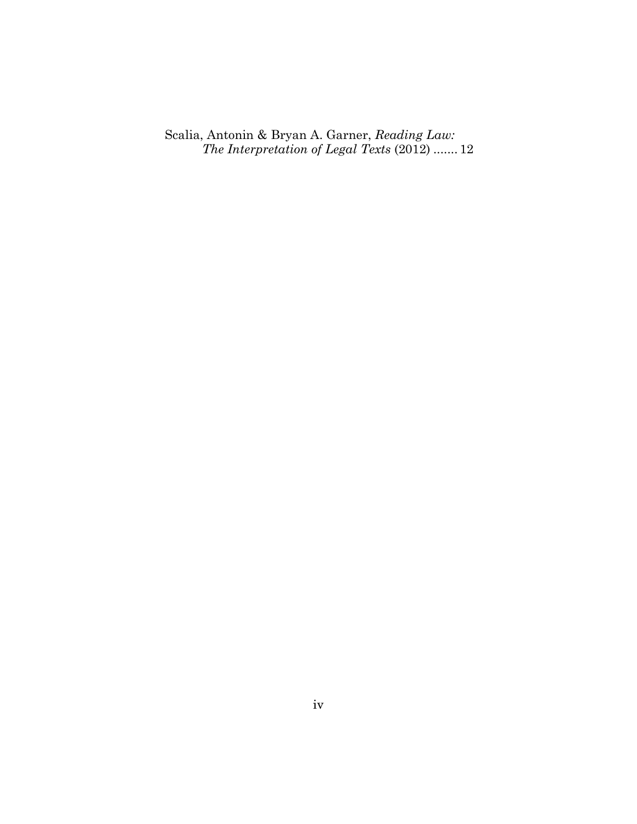Scalia, Antonin & Bryan A. Garner, *Reading Law: The Interpretation of Legal Texts* (2012) ....... 12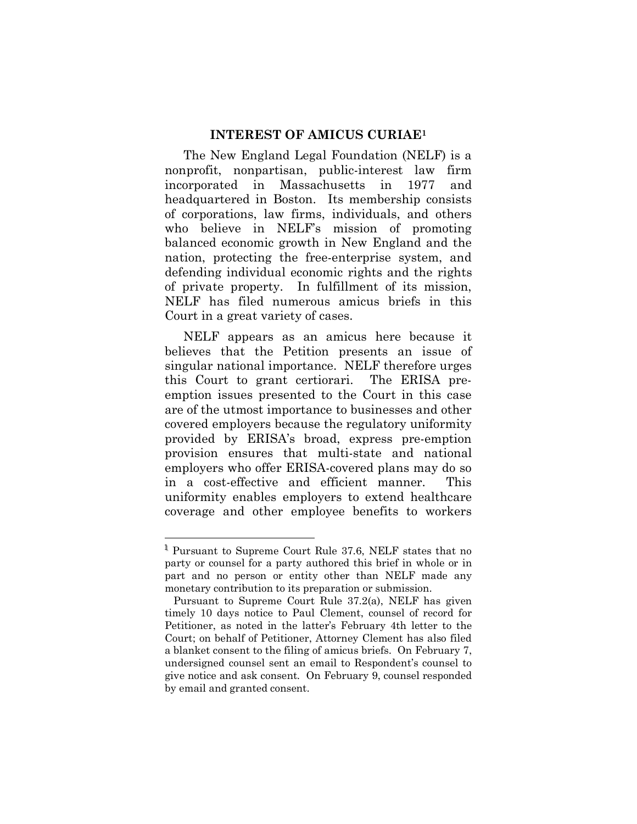#### **INTEREST OF AMICUS CURIAE<sup>1</sup>**

The New England Legal Foundation (NELF) is a nonprofit, nonpartisan, public-interest law firm incorporated in Massachusetts in 1977 and headquartered in Boston. Its membership consists of corporations, law firms, individuals, and others who believe in NELF's mission of promoting balanced economic growth in New England and the nation, protecting the free-enterprise system, and defending individual economic rights and the rights of private property. In fulfillment of its mission, NELF has filed numerous amicus briefs in this Court in a great variety of cases.

NELF appears as an amicus here because it believes that the Petition presents an issue of singular national importance. NELF therefore urges this Court to grant certiorari. The ERISA preemption issues presented to the Court in this case are of the utmost importance to businesses and other covered employers because the regulatory uniformity provided by ERISA's broad, express pre-emption provision ensures that multi-state and national employers who offer ERISA-covered plans may do so in a cost-effective and efficient manner. This uniformity enables employers to extend healthcare coverage and other employee benefits to workers

<sup>&</sup>lt;sup>1</sup> Pursuant to Supreme Court Rule 37.6, NELF states that no party or counsel for a party authored this brief in whole or in part and no person or entity other than NELF made any monetary contribution to its preparation or submission.

Pursuant to Supreme Court Rule 37.2(a), NELF has given timely 10 days notice to Paul Clement, counsel of record for Petitioner, as noted in the latter's February 4th letter to the Court; on behalf of Petitioner, Attorney Clement has also filed a blanket consent to the filing of amicus briefs. On February 7, undersigned counsel sent an email to Respondent's counsel to give notice and ask consent. On February 9, counsel responded by email and granted consent.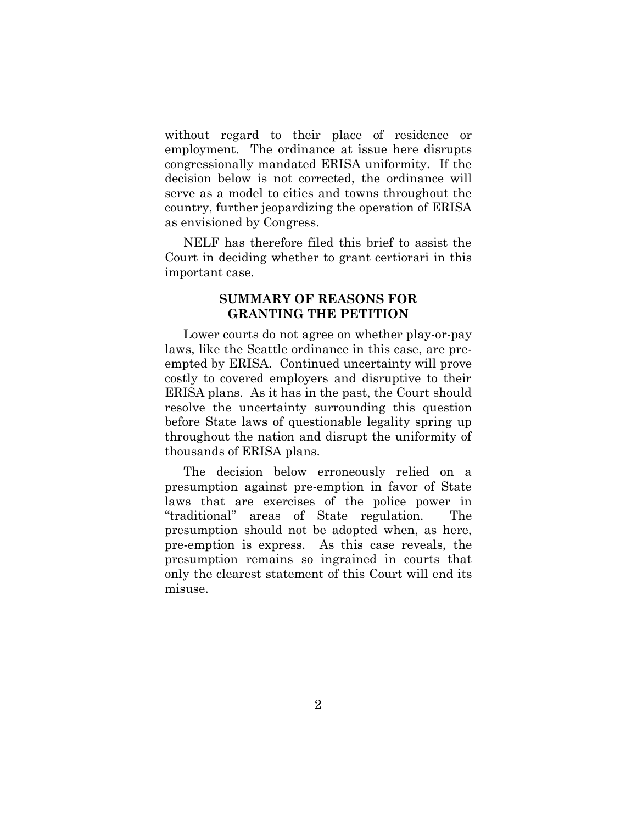without regard to their place of residence or employment. The ordinance at issue here disrupts congressionally mandated ERISA uniformity. If the decision below is not corrected, the ordinance will serve as a model to cities and towns throughout the country, further jeopardizing the operation of ERISA as envisioned by Congress.

NELF has therefore filed this brief to assist the Court in deciding whether to grant certiorari in this important case.

#### **SUMMARY OF REASONS FOR GRANTING THE PETITION**

Lower courts do not agree on whether play-or-pay laws, like the Seattle ordinance in this case, are preempted by ERISA. Continued uncertainty will prove costly to covered employers and disruptive to their ERISA plans. As it has in the past, the Court should resolve the uncertainty surrounding this question before State laws of questionable legality spring up throughout the nation and disrupt the uniformity of thousands of ERISA plans.

The decision below erroneously relied on a presumption against pre-emption in favor of State laws that are exercises of the police power in "traditional" areas of State regulation. The presumption should not be adopted when, as here, pre-emption is express. As this case reveals, the presumption remains so ingrained in courts that only the clearest statement of this Court will end its misuse.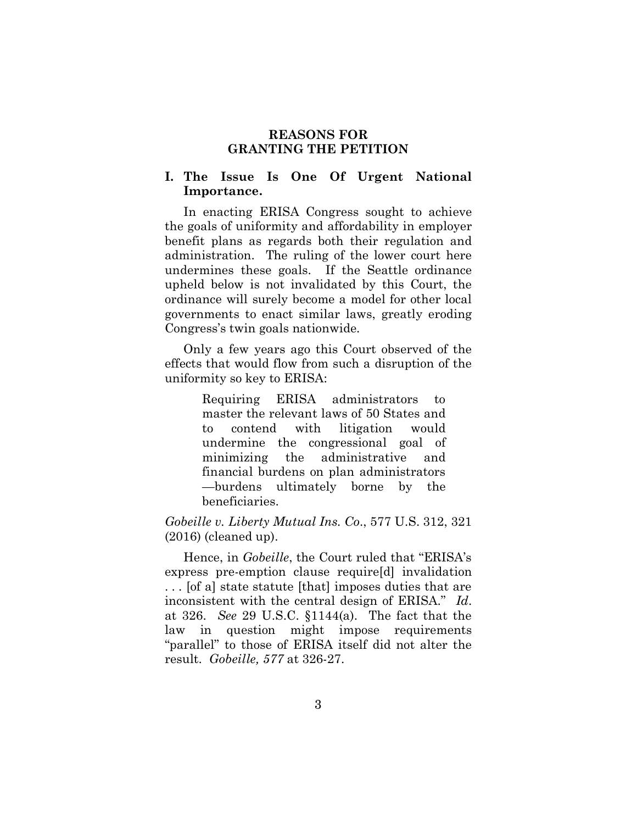#### **REASONS FOR GRANTING THE PETITION**

#### **I. The Issue Is One Of Urgent National Importance.**

In enacting ERISA Congress sought to achieve the goals of uniformity and affordability in employer benefit plans as regards both their regulation and administration. The ruling of the lower court here undermines these goals. If the Seattle ordinance upheld below is not invalidated by this Court, the ordinance will surely become a model for other local governments to enact similar laws, greatly eroding Congress's twin goals nationwide.

Only a few years ago this Court observed of the effects that would flow from such a disruption of the uniformity so key to ERISA:

> Requiring ERISA administrators to master the relevant laws of 50 States and to contend with litigation would undermine the congressional goal of minimizing the administrative and financial burdens on plan administrators —burdens ultimately borne by the beneficiaries.

#### *Gobeille v. Liberty Mutual Ins. Co*., 577 U.S. 312, 321 (2016) (cleaned up).

Hence, in *Gobeille*, the Court ruled that "ERISA's express pre-emption clause require[d] invalidation . . . [of a] state statute [that] imposes duties that are inconsistent with the central design of ERISA." *Id*. at 326. *See* 29 U.S.C. §1144(a). The fact that the law in question might impose requirements "parallel" to those of ERISA itself did not alter the result. *Gobeille, 577* at 326-27.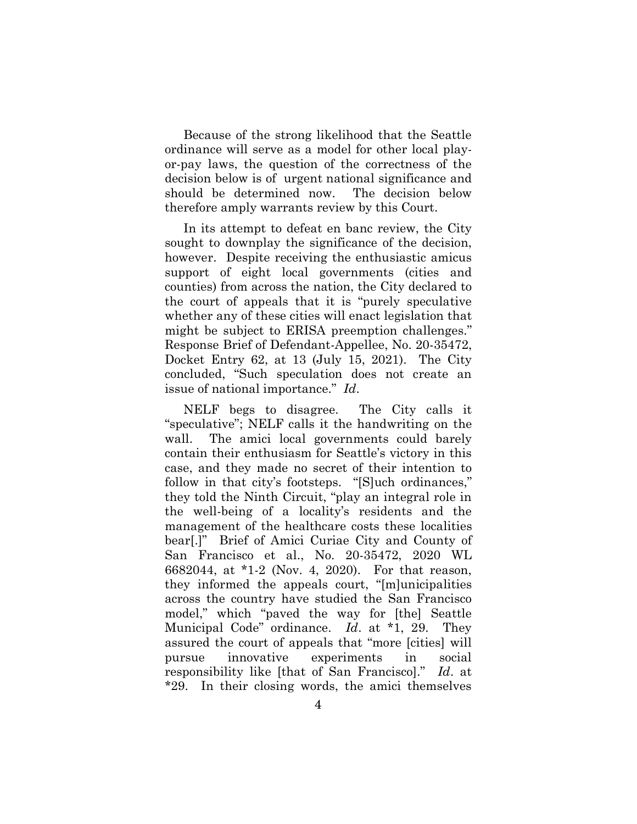Because of the strong likelihood that the Seattle ordinance will serve as a model for other local playor-pay laws, the question of the correctness of the decision below is of urgent national significance and should be determined now. The decision below therefore amply warrants review by this Court.

In its attempt to defeat en banc review, the City sought to downplay the significance of the decision, however. Despite receiving the enthusiastic amicus support of eight local governments (cities and counties) from across the nation, the City declared to the court of appeals that it is "purely speculative whether any of these cities will enact legislation that might be subject to ERISA preemption challenges." Response Brief of Defendant-Appellee, No. 20-35472, Docket Entry 62, at 13 (July 15, 2021). The City concluded, "Such speculation does not create an issue of national importance." *Id*.

NELF begs to disagree. The City calls it "speculative"; NELF calls it the handwriting on the wall. The amici local governments could barely contain their enthusiasm for Seattle's victory in this case, and they made no secret of their intention to follow in that city's footsteps. "[S]uch ordinances," they told the Ninth Circuit, "play an integral role in the well-being of a locality's residents and the management of the healthcare costs these localities bear[.]" Brief of Amici Curiae City and County of San Francisco et al., No. 20-35472, 2020 WL 6682044, at \*1-2 (Nov. 4, 2020). For that reason, they informed the appeals court, "[m]unicipalities across the country have studied the San Francisco model," which "paved the way for [the] Seattle Municipal Code" ordinance. *Id*. at \*1, 29. They assured the court of appeals that "more [cities] will pursue innovative experiments in social responsibility like [that of San Francisco]." *Id*. at \*29. In their closing words, the amici themselves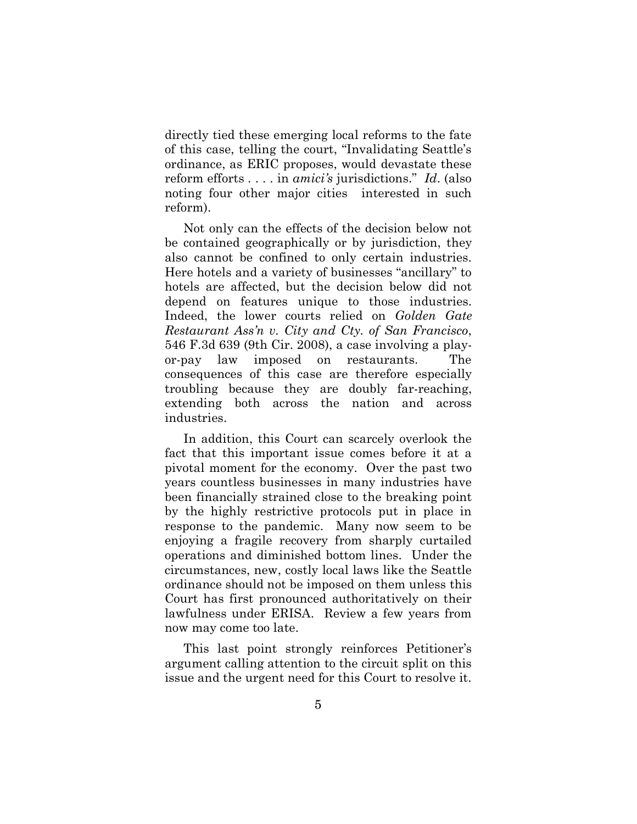directly tied these emerging local reforms to the fate of this case, telling the court, "Invalidating Seattle's ordinance, as ERIC proposes, would devastate these reform efforts . . . . in *amici's* jurisdictions." *Id*. (also noting four other major cities interested in such reform).

Not only can the effects of the decision below not be contained geographically or by jurisdiction, they also cannot be confined to only certain industries. Here hotels and a variety of businesses "ancillary" to hotels are affected, but the decision below did not depend on features unique to those industries. Indeed, the lower courts relied on *Golden Gate Restaurant Ass'n v. City and Cty. of San Francisco*, 546 F.3d 639 (9th Cir. 2008), a case involving a playor-pay law imposed on restaurants. The consequences of this case are therefore especially troubling because they are doubly far-reaching, extending both across the nation and across industries.

In addition, this Court can scarcely overlook the fact that this important issue comes before it at a pivotal moment for the economy. Over the past two years countless businesses in many industries have been financially strained close to the breaking point by the highly restrictive protocols put in place in response to the pandemic. Many now seem to be enjoying a fragile recovery from sharply curtailed operations and diminished bottom lines. Under the circumstances, new, costly local laws like the Seattle ordinance should not be imposed on them unless this Court has first pronounced authoritatively on their lawfulness under ERISA. Review a few years from now may come too late.

This last point strongly reinforces Petitioner's argument calling attention to the circuit split on this issue and the urgent need for this Court to resolve it.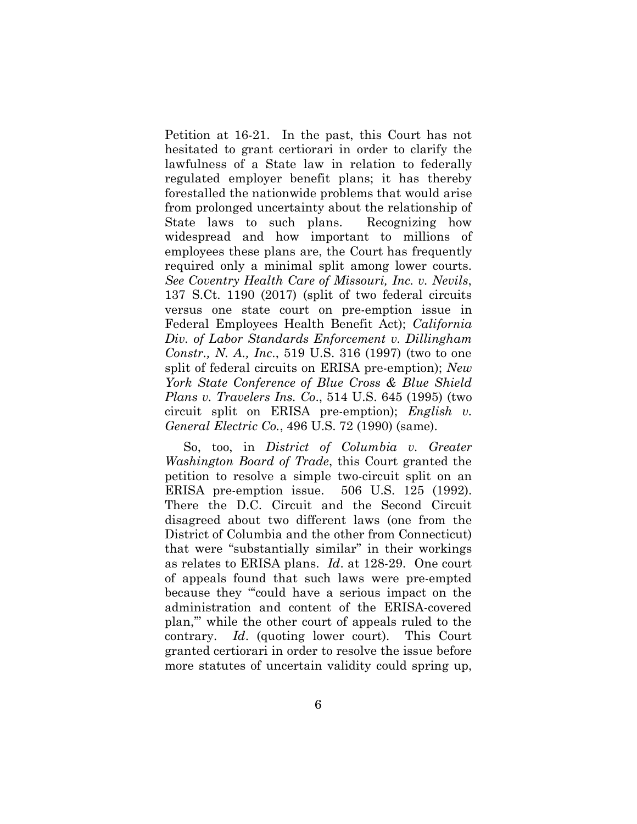Petition at 16-21. In the past, this Court has not hesitated to grant certiorari in order to clarify the lawfulness of a State law in relation to federally regulated employer benefit plans; it has thereby forestalled the nationwide problems that would arise from prolonged uncertainty about the relationship of State laws to such plans. Recognizing how widespread and how important to millions of employees these plans are, the Court has frequently required only a minimal split among lower courts. *See Coventry Health Care of Missouri, Inc. v. Nevils*, 137 S.Ct. 1190 (2017) (split of two federal circuits versus one state court on pre-emption issue in Federal Employees Health Benefit Act); *California Div. of Labor Standards Enforcement v. Dillingham Constr., N. A., Inc*., 519 U.S. 316 (1997) (two to one split of federal circuits on ERISA pre-emption); *New York State Conference of Blue Cross & Blue Shield Plans v. Travelers Ins. Co*., 514 U.S. 645 (1995) (two circuit split on ERISA pre-emption); *English v. General Electric Co.*, 496 U.S. 72 (1990) (same).

So, too, in *District of Columbia v. Greater Washington Board of Trade*, this Court granted the petition to resolve a simple two-circuit split on an ERISA pre-emption issue. 506 U.S. 125 (1992). There the D.C. Circuit and the Second Circuit disagreed about two different laws (one from the District of Columbia and the other from Connecticut) that were "substantially similar" in their workings as relates to ERISA plans. *Id*. at 128-29. One court of appeals found that such laws were pre-empted because they "'could have a serious impact on the administration and content of the ERISA-covered plan,'" while the other court of appeals ruled to the contrary. *Id*. (quoting lower court). This Court granted certiorari in order to resolve the issue before more statutes of uncertain validity could spring up,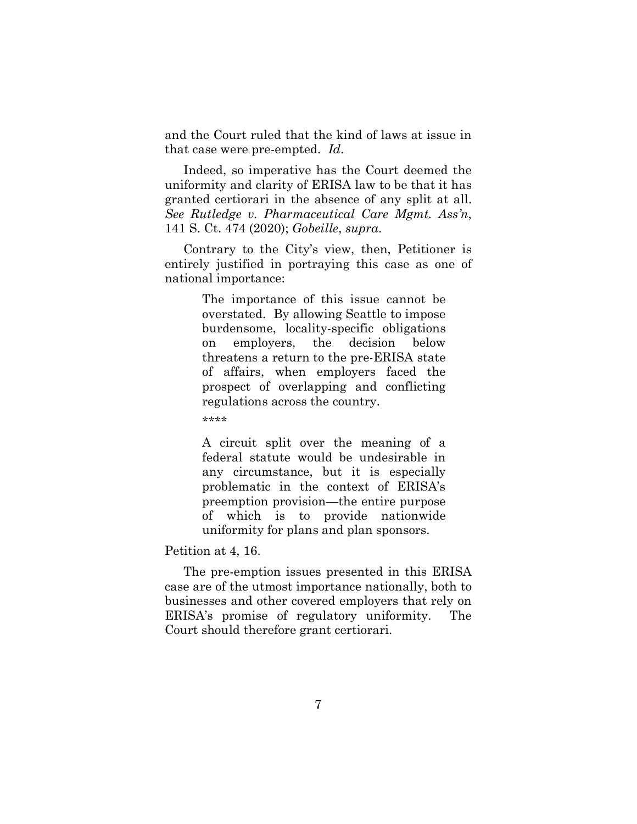and the Court ruled that the kind of laws at issue in that case were pre-empted. *Id*.

Indeed, so imperative has the Court deemed the uniformity and clarity of ERISA law to be that it has granted certiorari in the absence of any split at all. *See Rutledge v. Pharmaceutical Care Mgmt. Ass'n*, 141 S. Ct. 474 (2020); *Gobeille*, *supra*.

Contrary to the City's view, then, Petitioner is entirely justified in portraying this case as one of national importance:

> The importance of this issue cannot be overstated. By allowing Seattle to impose burdensome, locality-specific obligations on employers, the decision below threatens a return to the pre-ERISA state of affairs, when employers faced the prospect of overlapping and conflicting regulations across the country.

\*\*\*\*

A circuit split over the meaning of a federal statute would be undesirable in any circumstance, but it is especially problematic in the context of ERISA's preemption provision—the entire purpose of which is to provide nationwide uniformity for plans and plan sponsors.

Petition at 4, 16.

The pre-emption issues presented in this ERISA case are of the utmost importance nationally, both to businesses and other covered employers that rely on ERISA's promise of regulatory uniformity. The Court should therefore grant certiorari.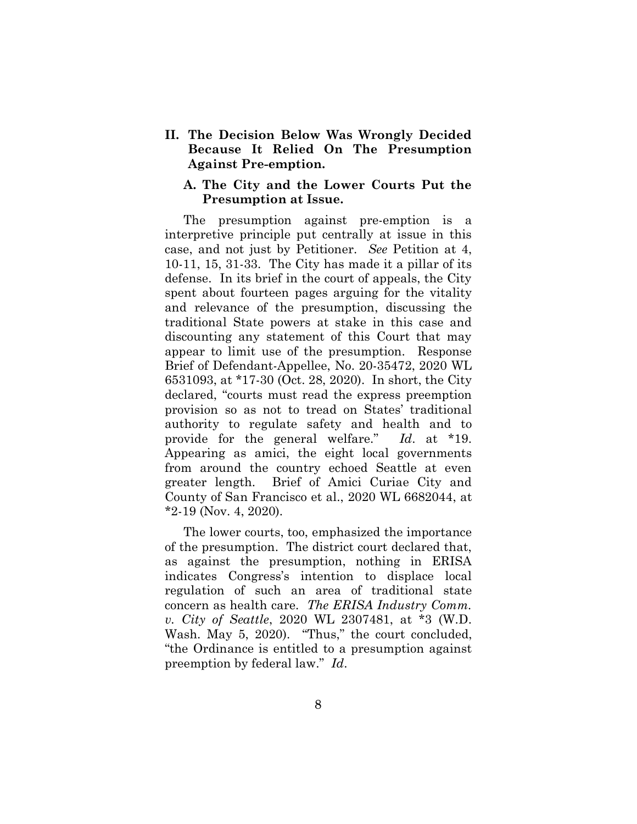**II. The Decision Below Was Wrongly Decided Because It Relied On The Presumption Against Pre-emption.**

#### **A. The City and the Lower Courts Put the Presumption at Issue.**

The presumption against pre-emption is a interpretive principle put centrally at issue in this case, and not just by Petitioner. *See* Petition at 4, 10-11, 15, 31-33. The City has made it a pillar of its defense. In its brief in the court of appeals, the City spent about fourteen pages arguing for the vitality and relevance of the presumption, discussing the traditional State powers at stake in this case and discounting any statement of this Court that may appear to limit use of the presumption. Response Brief of Defendant-Appellee, No. 20-35472, 2020 WL 6531093, at \*17-30 (Oct. 28, 2020). In short, the City declared, "courts must read the express preemption provision so as not to tread on States' traditional authority to regulate safety and health and to provide for the general welfare." *Id*. at \*19. Appearing as amici, the eight local governments from around the country echoed Seattle at even greater length. Brief of Amici Curiae City and County of San Francisco et al., 2020 WL 6682044, at \*2-19 (Nov. 4, 2020).

The lower courts, too, emphasized the importance of the presumption. The district court declared that, as against the presumption, nothing in ERISA indicates Congress's intention to displace local regulation of such an area of traditional state concern as health care. *The ERISA Industry Comm. v. City of Seattle*, 2020 WL 2307481, at \*3 (W.D. Wash. May 5, 2020). "Thus," the court concluded, "the Ordinance is entitled to a presumption against preemption by federal law." *Id*.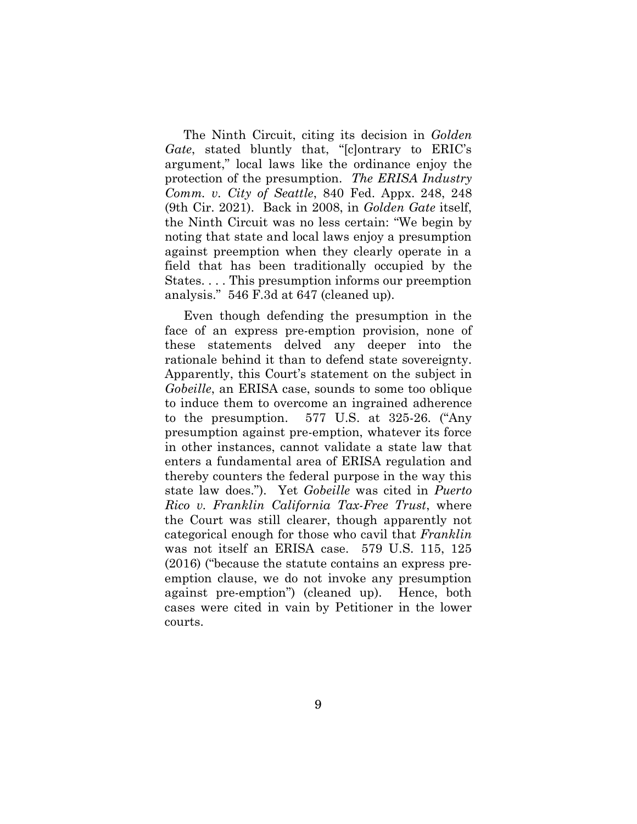The Ninth Circuit, citing its decision in *Golden Gate*, stated bluntly that, "[c]ontrary to ERIC's argument," local laws like the ordinance enjoy the protection of the presumption. *The ERISA Industry Comm. v. City of Seattle*, 840 Fed. Appx. 248, 248 (9th Cir. 2021). Back in 2008, in *Golden Gate* itself, the Ninth Circuit was no less certain: "We begin by noting that state and local laws enjoy a presumption against preemption when they clearly operate in a field that has been traditionally occupied by the States. . . . This presumption informs our preemption analysis." 546 F.3d at 647 (cleaned up).

Even though defending the presumption in the face of an express pre-emption provision, none of these statements delved any deeper into the rationale behind it than to defend state sovereignty. Apparently, this Court's statement on the subject in *Gobeille*, an ERISA case, sounds to some too oblique to induce them to overcome an ingrained adherence to the presumption. 577 U.S. at 325-26. ("Any presumption against pre-emption, whatever its force in other instances, cannot validate a state law that enters a fundamental area of ERISA regulation and thereby counters the federal purpose in the way this state law does."). Yet *Gobeille* was cited in *Puerto Rico v. Franklin California Tax-Free Trust*, where the Court was still clearer, though apparently not categorical enough for those who cavil that *Franklin* was not itself an ERISA case. 579 U.S. 115, 125 (2016) ("because the statute contains an express preemption clause, we do not invoke any presumption against pre-emption") (cleaned up). Hence, both cases were cited in vain by Petitioner in the lower courts.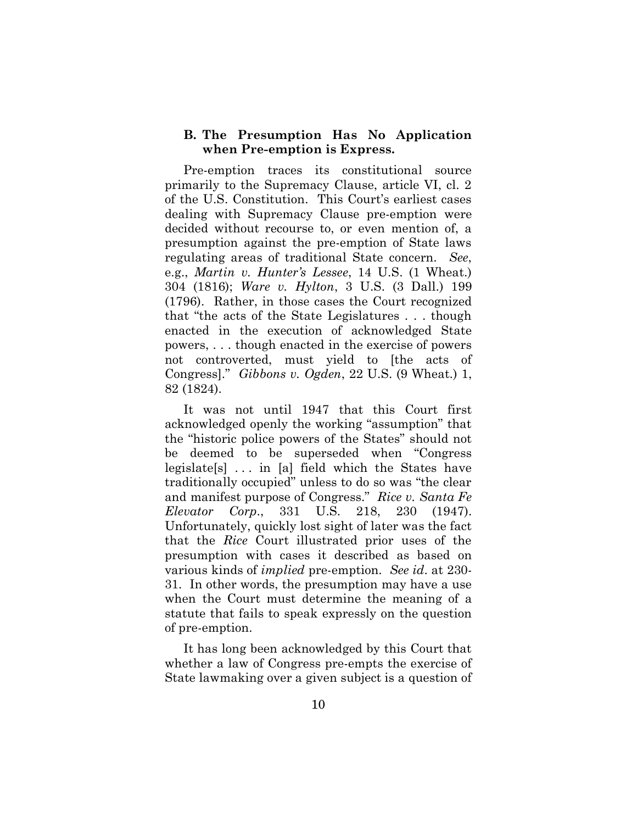#### **B. The Presumption Has No Application when Pre-emption is Express.**

Pre-emption traces its constitutional source primarily to the Supremacy Clause, article VI, cl. 2 of the U.S. Constitution. This Court's earliest cases dealing with Supremacy Clause pre-emption were decided without recourse to, or even mention of, a presumption against the pre-emption of State laws regulating areas of traditional State concern. *See*, e.g., *Martin v. Hunter's Lessee*, 14 U.S. (1 Wheat.) 304 (1816); *Ware v. Hylton*, 3 U.S. (3 Dall.) 199 (1796). Rather, in those cases the Court recognized that "the acts of the State Legislatures . . . though enacted in the execution of acknowledged State powers, . . . though enacted in the exercise of powers not controverted, must yield to [the acts of Congress]." *Gibbons v. Ogden*, 22 U.S. (9 Wheat.) 1, 82 (1824).

It was not until 1947 that this Court first acknowledged openly the working "assumption" that the "historic police powers of the States" should not be deemed to be superseded when "Congress legislate [s]  $\ldots$  in [a] field which the States have traditionally occupied" unless to do so was "the clear and manifest purpose of Congress." *Rice v. Santa Fe Elevator Corp*., 331 U.S. 218, 230 (1947). Unfortunately, quickly lost sight of later was the fact that the *Rice* Court illustrated prior uses of the presumption with cases it described as based on various kinds of *implied* pre-emption. *See id*. at 230- 31. In other words, the presumption may have a use when the Court must determine the meaning of a statute that fails to speak expressly on the question of pre-emption.

It has long been acknowledged by this Court that whether a law of Congress pre-empts the exercise of State lawmaking over a given subject is a question of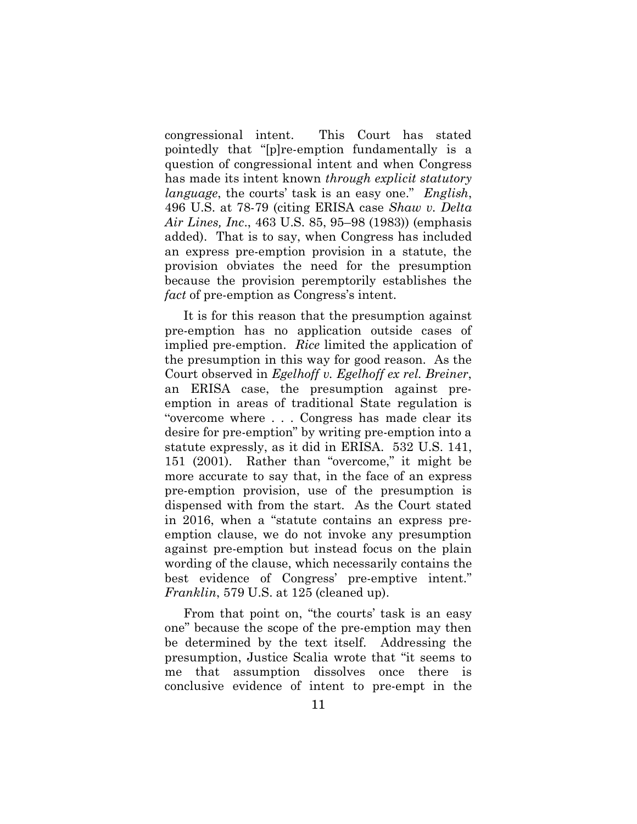congressional intent. This Court has stated pointedly that "[p]re-emption fundamentally is a question of congressional intent and when Congress has made its intent known *through explicit statutory language*, the courts' task is an easy one." *English*, 496 U.S. at 78-79 (citing ERISA case *Shaw v. Delta Air Lines, Inc*., 463 U.S. 85, 95–98 (1983)) (emphasis added). That is to say, when Congress has included an express pre-emption provision in a statute, the provision obviates the need for the presumption because the provision peremptorily establishes the *fact* of pre-emption as Congress's intent.

It is for this reason that the presumption against pre-emption has no application outside cases of implied pre-emption. *Rice* limited the application of the presumption in this way for good reason. As the Court observed in *Egelhoff v. Egelhoff ex rel. Breiner*, an ERISA case, the presumption against preemption in areas of traditional State regulation is "overcome where . . . Congress has made clear its desire for pre-emption" by writing pre-emption into a statute expressly, as it did in ERISA. 532 U.S. 141, 151 (2001). Rather than "overcome," it might be more accurate to say that, in the face of an express pre-emption provision, use of the presumption is dispensed with from the start. As the Court stated in 2016, when a "statute contains an express preemption clause, we do not invoke any presumption against pre-emption but instead focus on the plain wording of the clause, which necessarily contains the best evidence of Congress' pre-emptive intent." *Franklin*, 579 U.S. at 125 (cleaned up).

From that point on, "the courts' task is an easy one" because the scope of the pre-emption may then be determined by the text itself. Addressing the presumption, Justice Scalia wrote that "it seems to me that assumption dissolves once there is conclusive evidence of intent to pre-empt in the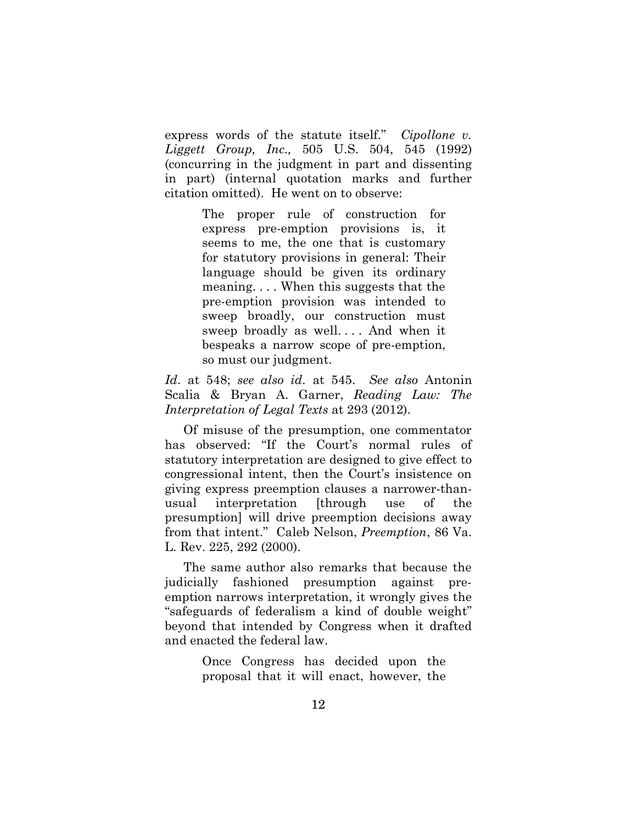express words of the statute itself." *Cipollone v. Liggett Group, Inc.,* 505 U.S. 504, 545 (1992) (concurring in the judgment in part and dissenting in part) (internal quotation marks and further citation omitted). He went on to observe:

> The proper rule of construction for express pre-emption provisions is, it seems to me, the one that is customary for statutory provisions in general: Their language should be given its ordinary meaning. . . . When this suggests that the pre-emption provision was intended to sweep broadly, our construction must sweep broadly as well. . . . And when it bespeaks a narrow scope of pre-emption, so must our judgment.

*Id*. at 548; *see also id.* at 545. *See also* Antonin Scalia & Bryan A. Garner, *Reading Law: The Interpretation of Legal Texts* at 293 (2012).

Of misuse of the presumption, one commentator has observed: "If the Court's normal rules of statutory interpretation are designed to give effect to congressional intent, then the Court's insistence on giving express preemption clauses a narrower-thanusual interpretation [through use of the presumption] will drive preemption decisions away from that intent." Caleb Nelson, *Preemption*, 86 Va. L. Rev. 225, 292 (2000).

The same author also remarks that because the judicially fashioned presumption against preemption narrows interpretation, it wrongly gives the "safeguards of federalism a kind of double weight" beyond that intended by Congress when it drafted and enacted the federal law.

> Once Congress has decided upon the proposal that it will enact, however, the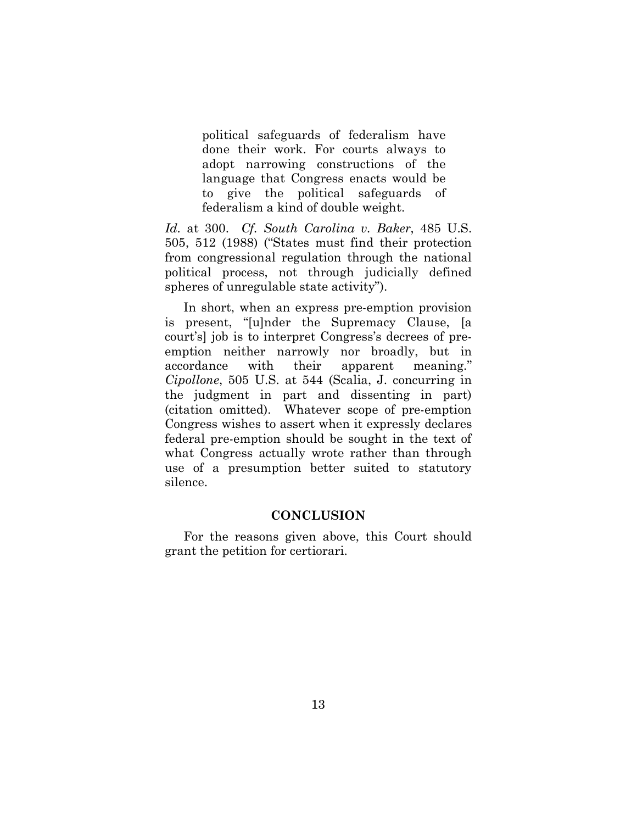political safeguards of federalism have done their work. For courts always to adopt narrowing constructions of the language that Congress enacts would be to give the political safeguards of federalism a kind of double weight.

*Id.* at 300. *Cf. South Carolina v. Baker*, 485 U.S. 505, 512 (1988) ("States must find their protection from congressional regulation through the national political process, not through judicially defined spheres of unregulable state activity").

In short, when an express pre-emption provision is present, "[u]nder the Supremacy Clause, [a court's] job is to interpret Congress's decrees of preemption neither narrowly nor broadly, but in accordance with their apparent meaning." *Cipollone*, 505 U.S. at 544 (Scalia, J. concurring in the judgment in part and dissenting in part) (citation omitted). Whatever scope of pre-emption Congress wishes to assert when it expressly declares federal pre-emption should be sought in the text of what Congress actually wrote rather than through use of a presumption better suited to statutory silence.

#### **CONCLUSION**

For the reasons given above, this Court should grant the petition for certiorari.